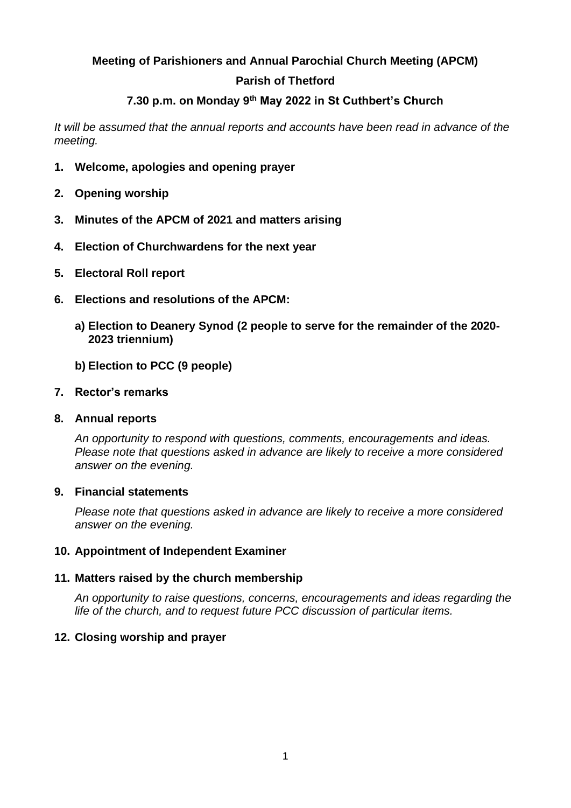# **Meeting of Parishioners and Annual Parochial Church Meeting (APCM) Parish of Thetford**

# **7.30 p.m. on Monday 9th May 2022 in St Cuthbert's Church**

*It will be assumed that the annual reports and accounts have been read in advance of the meeting.*

- **1. Welcome, apologies and opening prayer**
- **2. Opening worship**
- **3. Minutes of the APCM of 2021 and matters arising**
- **4. Election of Churchwardens for the next year**
- **5. Electoral Roll report**
- **6. Elections and resolutions of the APCM:**
	- **a) Election to Deanery Synod (2 people to serve for the remainder of the 2020- 2023 triennium)**
	- **b) Election to PCC (9 people)**

#### **7. Rector's remarks**

#### **8. Annual reports**

*An opportunity to respond with questions, comments, encouragements and ideas. Please note that questions asked in advance are likely to receive a more considered answer on the evening.*

#### **9. Financial statements**

*Please note that questions asked in advance are likely to receive a more considered answer on the evening.*

#### **10. Appointment of Independent Examiner**

#### **11. Matters raised by the church membership**

*An opportunity to raise questions, concerns, encouragements and ideas regarding the life of the church, and to request future PCC discussion of particular items.*

#### **12. Closing worship and prayer**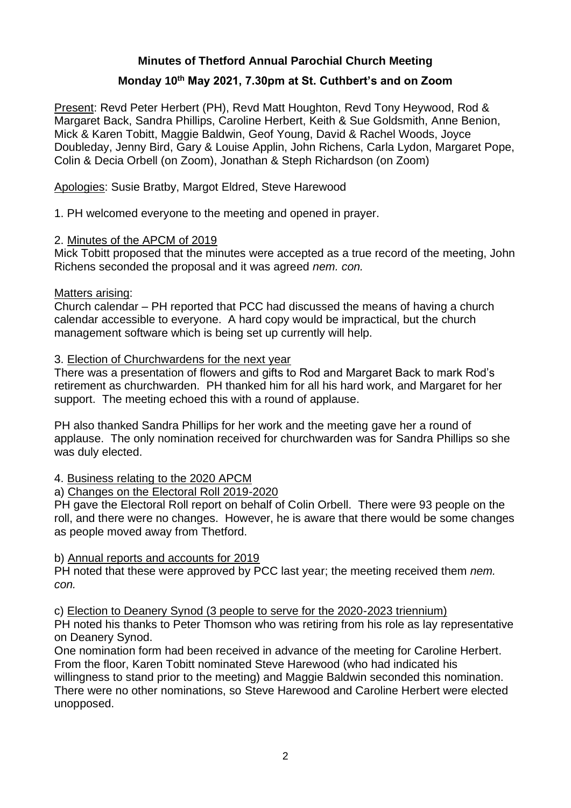# **Minutes of Thetford Annual Parochial Church Meeting**

# **Monday 10th May 2021, 7.30pm at St. Cuthbert's and on Zoom**

Present: Revd Peter Herbert (PH), Revd Matt Houghton, Revd Tony Heywood, Rod & Margaret Back, Sandra Phillips, Caroline Herbert, Keith & Sue Goldsmith, Anne Benion, Mick & Karen Tobitt, Maggie Baldwin, Geof Young, David & Rachel Woods, Joyce Doubleday, Jenny Bird, Gary & Louise Applin, John Richens, Carla Lydon, Margaret Pope, Colin & Decia Orbell (on Zoom), Jonathan & Steph Richardson (on Zoom)

Apologies: Susie Bratby, Margot Eldred, Steve Harewood

1. PH welcomed everyone to the meeting and opened in prayer.

### 2. Minutes of the APCM of 2019

Mick Tobitt proposed that the minutes were accepted as a true record of the meeting, John Richens seconded the proposal and it was agreed *nem. con.*

#### Matters arising:

Church calendar – PH reported that PCC had discussed the means of having a church calendar accessible to everyone. A hard copy would be impractical, but the church management software which is being set up currently will help.

#### 3. Election of Churchwardens for the next year

There was a presentation of flowers and gifts to Rod and Margaret Back to mark Rod's retirement as churchwarden. PH thanked him for all his hard work, and Margaret for her support. The meeting echoed this with a round of applause.

PH also thanked Sandra Phillips for her work and the meeting gave her a round of applause. The only nomination received for churchwarden was for Sandra Phillips so she was duly elected.

#### 4. Business relating to the 2020 APCM

#### a) Changes on the Electoral Roll 2019-2020

PH gave the Electoral Roll report on behalf of Colin Orbell. There were 93 people on the roll, and there were no changes. However, he is aware that there would be some changes as people moved away from Thetford.

#### b) Annual reports and accounts for 2019

PH noted that these were approved by PCC last year; the meeting received them *nem. con.*

c) Election to Deanery Synod (3 people to serve for the 2020-2023 triennium)

PH noted his thanks to Peter Thomson who was retiring from his role as lay representative on Deanery Synod.

One nomination form had been received in advance of the meeting for Caroline Herbert. From the floor, Karen Tobitt nominated Steve Harewood (who had indicated his willingness to stand prior to the meeting) and Maggie Baldwin seconded this nomination. There were no other nominations, so Steve Harewood and Caroline Herbert were elected unopposed.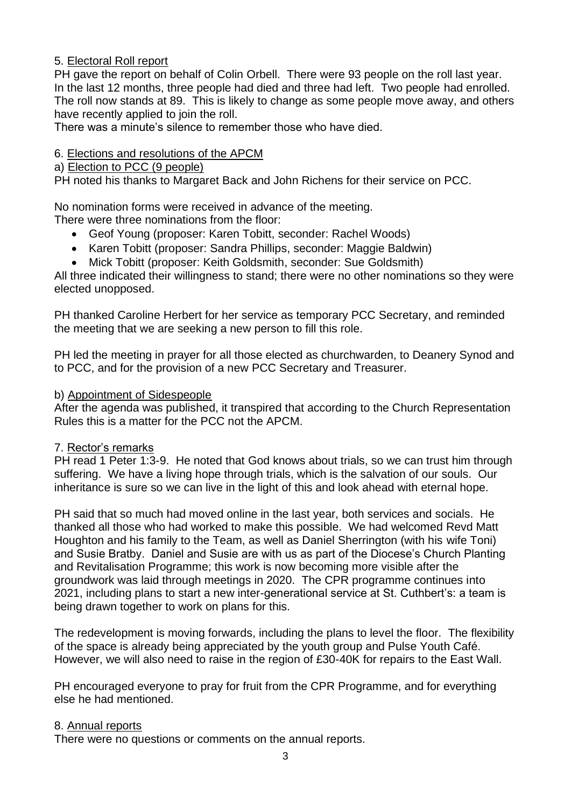# 5. Electoral Roll report

PH gave the report on behalf of Colin Orbell. There were 93 people on the roll last year. In the last 12 months, three people had died and three had left. Two people had enrolled. The roll now stands at 89. This is likely to change as some people move away, and others have recently applied to join the roll.

There was a minute's silence to remember those who have died.

# 6. Elections and resolutions of the APCM

# a) Election to PCC (9 people)

PH noted his thanks to Margaret Back and John Richens for their service on PCC.

No nomination forms were received in advance of the meeting.

There were three nominations from the floor:

- Geof Young (proposer: Karen Tobitt, seconder: Rachel Woods)
- Karen Tobitt (proposer: Sandra Phillips, seconder: Maggie Baldwin)
- Mick Tobitt (proposer: Keith Goldsmith, seconder: Sue Goldsmith)

All three indicated their willingness to stand; there were no other nominations so they were elected unopposed.

PH thanked Caroline Herbert for her service as temporary PCC Secretary, and reminded the meeting that we are seeking a new person to fill this role.

PH led the meeting in prayer for all those elected as churchwarden, to Deanery Synod and to PCC, and for the provision of a new PCC Secretary and Treasurer.

#### b) Appointment of Sidespeople

After the agenda was published, it transpired that according to the Church Representation Rules this is a matter for the PCC not the APCM.

#### 7. Rector's remarks

PH read 1 Peter 1:3-9. He noted that God knows about trials, so we can trust him through suffering. We have a living hope through trials, which is the salvation of our souls. Our inheritance is sure so we can live in the light of this and look ahead with eternal hope.

PH said that so much had moved online in the last year, both services and socials. He thanked all those who had worked to make this possible. We had welcomed Revd Matt Houghton and his family to the Team, as well as Daniel Sherrington (with his wife Toni) and Susie Bratby. Daniel and Susie are with us as part of the Diocese's Church Planting and Revitalisation Programme; this work is now becoming more visible after the groundwork was laid through meetings in 2020. The CPR programme continues into 2021, including plans to start a new inter-generational service at St. Cuthbert's: a team is being drawn together to work on plans for this.

The redevelopment is moving forwards, including the plans to level the floor. The flexibility of the space is already being appreciated by the youth group and Pulse Youth Café. However, we will also need to raise in the region of £30-40K for repairs to the East Wall.

PH encouraged everyone to pray for fruit from the CPR Programme, and for everything else he had mentioned.

#### 8. Annual reports

There were no questions or comments on the annual reports.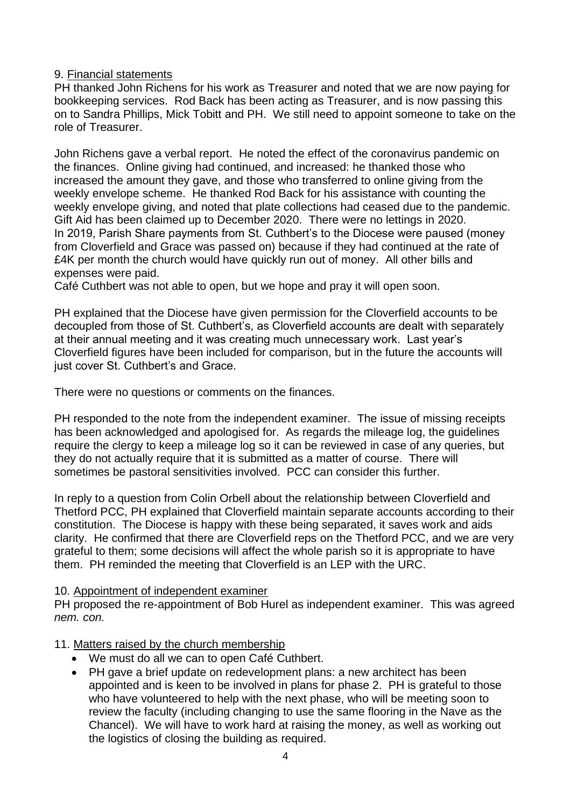### 9. Financial statements

PH thanked John Richens for his work as Treasurer and noted that we are now paying for bookkeeping services. Rod Back has been acting as Treasurer, and is now passing this on to Sandra Phillips, Mick Tobitt and PH. We still need to appoint someone to take on the role of Treasurer.

John Richens gave a verbal report. He noted the effect of the coronavirus pandemic on the finances. Online giving had continued, and increased: he thanked those who increased the amount they gave, and those who transferred to online giving from the weekly envelope scheme. He thanked Rod Back for his assistance with counting the weekly envelope giving, and noted that plate collections had ceased due to the pandemic. Gift Aid has been claimed up to December 2020. There were no lettings in 2020. In 2019, Parish Share payments from St. Cuthbert's to the Diocese were paused (money from Cloverfield and Grace was passed on) because if they had continued at the rate of £4K per month the church would have quickly run out of money. All other bills and expenses were paid.

Café Cuthbert was not able to open, but we hope and pray it will open soon.

PH explained that the Diocese have given permission for the Cloverfield accounts to be decoupled from those of St. Cuthbert's, as Cloverfield accounts are dealt with separately at their annual meeting and it was creating much unnecessary work. Last year's Cloverfield figures have been included for comparison, but in the future the accounts will just cover St. Cuthbert's and Grace.

There were no questions or comments on the finances.

PH responded to the note from the independent examiner. The issue of missing receipts has been acknowledged and apologised for. As regards the mileage log, the guidelines require the clergy to keep a mileage log so it can be reviewed in case of any queries, but they do not actually require that it is submitted as a matter of course. There will sometimes be pastoral sensitivities involved. PCC can consider this further.

In reply to a question from Colin Orbell about the relationship between Cloverfield and Thetford PCC, PH explained that Cloverfield maintain separate accounts according to their constitution. The Diocese is happy with these being separated, it saves work and aids clarity. He confirmed that there are Cloverfield reps on the Thetford PCC, and we are very grateful to them; some decisions will affect the whole parish so it is appropriate to have them. PH reminded the meeting that Cloverfield is an LEP with the URC.

#### 10. Appointment of independent examiner

PH proposed the re-appointment of Bob Hurel as independent examiner. This was agreed *nem. con.*

# 11. Matters raised by the church membership

- We must do all we can to open Café Cuthbert.
- PH gave a brief update on redevelopment plans: a new architect has been appointed and is keen to be involved in plans for phase 2. PH is grateful to those who have volunteered to help with the next phase, who will be meeting soon to review the faculty (including changing to use the same flooring in the Nave as the Chancel). We will have to work hard at raising the money, as well as working out the logistics of closing the building as required.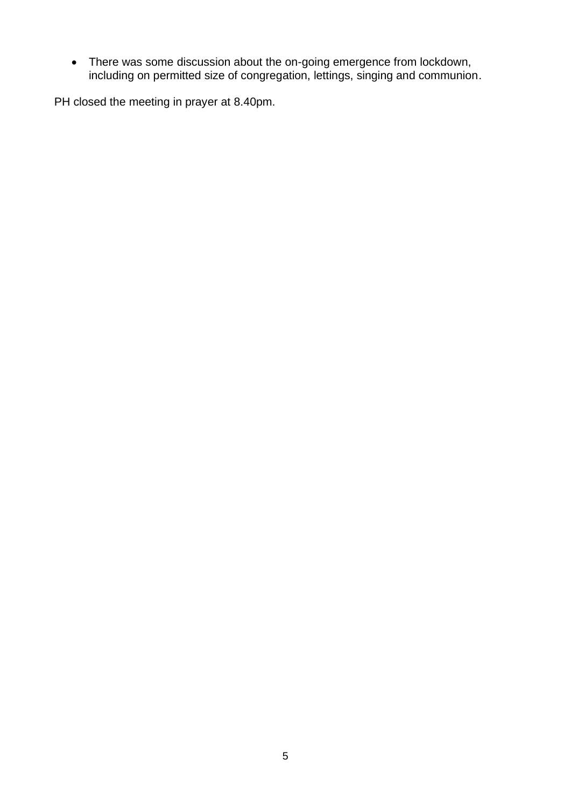• There was some discussion about the on-going emergence from lockdown, including on permitted size of congregation, lettings, singing and communion.

PH closed the meeting in prayer at 8.40pm.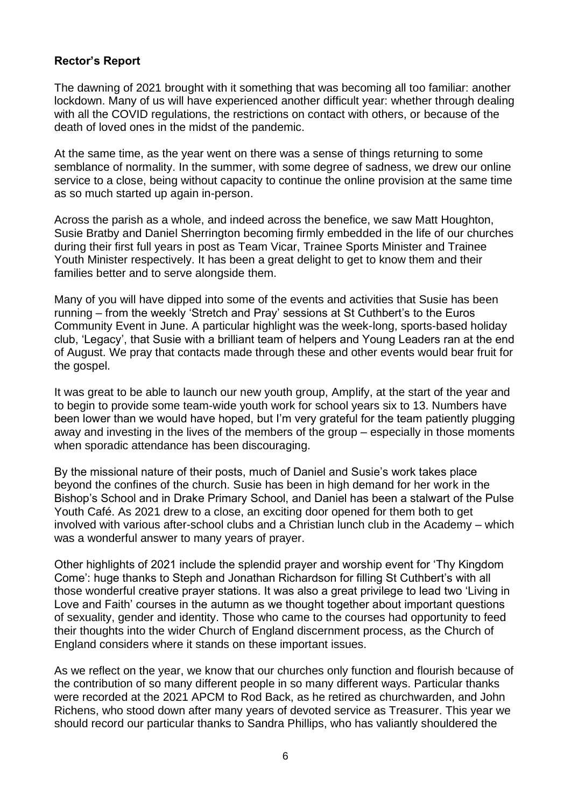### **Rector's Report**

The dawning of 2021 brought with it something that was becoming all too familiar: another lockdown. Many of us will have experienced another difficult year: whether through dealing with all the COVID regulations, the restrictions on contact with others, or because of the death of loved ones in the midst of the pandemic.

At the same time, as the year went on there was a sense of things returning to some semblance of normality. In the summer, with some degree of sadness, we drew our online service to a close, being without capacity to continue the online provision at the same time as so much started up again in-person.

Across the parish as a whole, and indeed across the benefice, we saw Matt Houghton, Susie Bratby and Daniel Sherrington becoming firmly embedded in the life of our churches during their first full years in post as Team Vicar, Trainee Sports Minister and Trainee Youth Minister respectively. It has been a great delight to get to know them and their families better and to serve alongside them.

Many of you will have dipped into some of the events and activities that Susie has been running – from the weekly 'Stretch and Pray' sessions at St Cuthbert's to the Euros Community Event in June. A particular highlight was the week-long, sports-based holiday club, 'Legacy', that Susie with a brilliant team of helpers and Young Leaders ran at the end of August. We pray that contacts made through these and other events would bear fruit for the gospel.

It was great to be able to launch our new youth group, Amplify, at the start of the year and to begin to provide some team-wide youth work for school years six to 13. Numbers have been lower than we would have hoped, but I'm very grateful for the team patiently plugging away and investing in the lives of the members of the group – especially in those moments when sporadic attendance has been discouraging.

By the missional nature of their posts, much of Daniel and Susie's work takes place beyond the confines of the church. Susie has been in high demand for her work in the Bishop's School and in Drake Primary School, and Daniel has been a stalwart of the Pulse Youth Café. As 2021 drew to a close, an exciting door opened for them both to get involved with various after-school clubs and a Christian lunch club in the Academy – which was a wonderful answer to many years of prayer.

Other highlights of 2021 include the splendid prayer and worship event for 'Thy Kingdom Come': huge thanks to Steph and Jonathan Richardson for filling St Cuthbert's with all those wonderful creative prayer stations. It was also a great privilege to lead two 'Living in Love and Faith' courses in the autumn as we thought together about important questions of sexuality, gender and identity. Those who came to the courses had opportunity to feed their thoughts into the wider Church of England discernment process, as the Church of England considers where it stands on these important issues.

As we reflect on the year, we know that our churches only function and flourish because of the contribution of so many different people in so many different ways. Particular thanks were recorded at the 2021 APCM to Rod Back, as he retired as churchwarden, and John Richens, who stood down after many years of devoted service as Treasurer. This year we should record our particular thanks to Sandra Phillips, who has valiantly shouldered the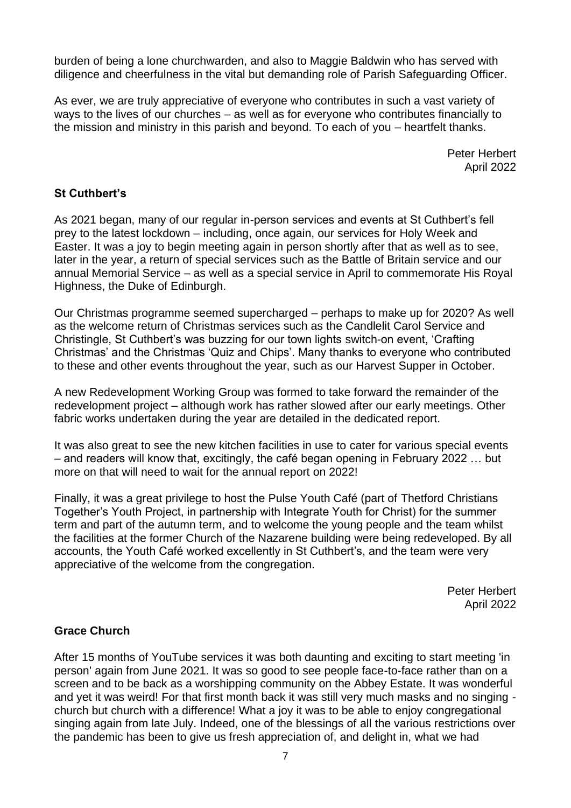burden of being a lone churchwarden, and also to Maggie Baldwin who has served with diligence and cheerfulness in the vital but demanding role of Parish Safeguarding Officer.

As ever, we are truly appreciative of everyone who contributes in such a vast variety of ways to the lives of our churches – as well as for everyone who contributes financially to the mission and ministry in this parish and beyond. To each of you – heartfelt thanks.

> Peter Herbert April 2022

# **St Cuthbert's**

As 2021 began, many of our regular in-person services and events at St Cuthbert's fell prey to the latest lockdown – including, once again, our services for Holy Week and Easter. It was a joy to begin meeting again in person shortly after that as well as to see, later in the year, a return of special services such as the Battle of Britain service and our annual Memorial Service – as well as a special service in April to commemorate His Royal Highness, the Duke of Edinburgh.

Our Christmas programme seemed supercharged – perhaps to make up for 2020? As well as the welcome return of Christmas services such as the Candlelit Carol Service and Christingle, St Cuthbert's was buzzing for our town lights switch-on event, 'Crafting Christmas' and the Christmas 'Quiz and Chips'. Many thanks to everyone who contributed to these and other events throughout the year, such as our Harvest Supper in October.

A new Redevelopment Working Group was formed to take forward the remainder of the redevelopment project – although work has rather slowed after our early meetings. Other fabric works undertaken during the year are detailed in the dedicated report.

It was also great to see the new kitchen facilities in use to cater for various special events – and readers will know that, excitingly, the café began opening in February 2022 … but more on that will need to wait for the annual report on 2022!

Finally, it was a great privilege to host the Pulse Youth Café (part of Thetford Christians Together's Youth Project, in partnership with Integrate Youth for Christ) for the summer term and part of the autumn term, and to welcome the young people and the team whilst the facilities at the former Church of the Nazarene building were being redeveloped. By all accounts, the Youth Café worked excellently in St Cuthbert's, and the team were very appreciative of the welcome from the congregation.

> Peter Herbert April 2022

#### **Grace Church**

After 15 months of YouTube services it was both daunting and exciting to start meeting 'in person' again from June 2021. It was so good to see people face-to-face rather than on a screen and to be back as a worshipping community on the Abbey Estate. It was wonderful and yet it was weird! For that first month back it was still very much masks and no singing church but church with a difference! What a joy it was to be able to enjoy congregational singing again from late July. Indeed, one of the blessings of all the various restrictions over the pandemic has been to give us fresh appreciation of, and delight in, what we had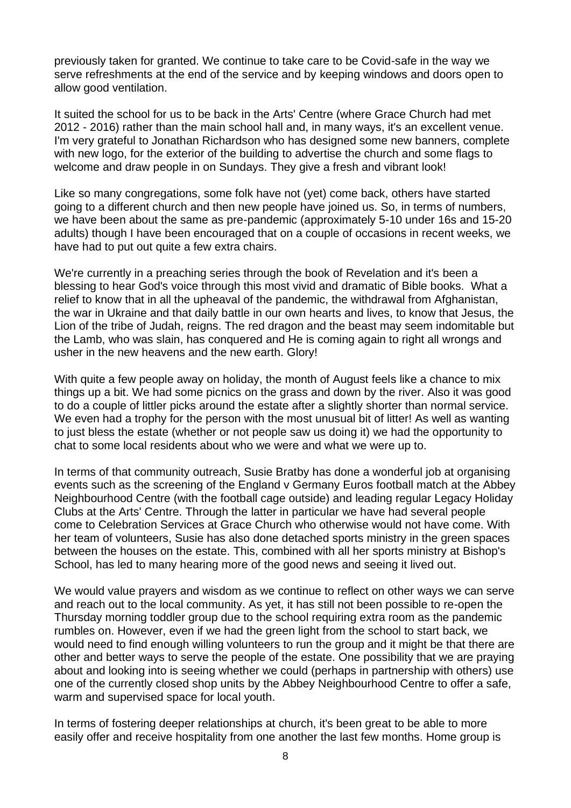previously taken for granted. We continue to take care to be Covid-safe in the way we serve refreshments at the end of the service and by keeping windows and doors open to allow good ventilation.

It suited the school for us to be back in the Arts' Centre (where Grace Church had met 2012 - 2016) rather than the main school hall and, in many ways, it's an excellent venue. I'm very grateful to Jonathan Richardson who has designed some new banners, complete with new logo, for the exterior of the building to advertise the church and some flags to welcome and draw people in on Sundays. They give a fresh and vibrant look!

Like so many congregations, some folk have not (yet) come back, others have started going to a different church and then new people have joined us. So, in terms of numbers, we have been about the same as pre-pandemic (approximately 5-10 under 16s and 15-20 adults) though I have been encouraged that on a couple of occasions in recent weeks, we have had to put out quite a few extra chairs.

We're currently in a preaching series through the book of Revelation and it's been a blessing to hear God's voice through this most vivid and dramatic of Bible books. What a relief to know that in all the upheaval of the pandemic, the withdrawal from Afghanistan, the war in Ukraine and that daily battle in our own hearts and lives, to know that Jesus, the Lion of the tribe of Judah, reigns. The red dragon and the beast may seem indomitable but the Lamb, who was slain, has conquered and He is coming again to right all wrongs and usher in the new heavens and the new earth. Glory!

With quite a few people away on holiday, the month of August feels like a chance to mix things up a bit. We had some picnics on the grass and down by the river. Also it was good to do a couple of littler picks around the estate after a slightly shorter than normal service. We even had a trophy for the person with the most unusual bit of litter! As well as wanting to just bless the estate (whether or not people saw us doing it) we had the opportunity to chat to some local residents about who we were and what we were up to.

In terms of that community outreach, Susie Bratby has done a wonderful job at organising events such as the screening of the England v Germany Euros football match at the Abbey Neighbourhood Centre (with the football cage outside) and leading regular Legacy Holiday Clubs at the Arts' Centre. Through the latter in particular we have had several people come to Celebration Services at Grace Church who otherwise would not have come. With her team of volunteers, Susie has also done detached sports ministry in the green spaces between the houses on the estate. This, combined with all her sports ministry at Bishop's School, has led to many hearing more of the good news and seeing it lived out.

We would value prayers and wisdom as we continue to reflect on other ways we can serve and reach out to the local community. As yet, it has still not been possible to re-open the Thursday morning toddler group due to the school requiring extra room as the pandemic rumbles on. However, even if we had the green light from the school to start back, we would need to find enough willing volunteers to run the group and it might be that there are other and better ways to serve the people of the estate. One possibility that we are praying about and looking into is seeing whether we could (perhaps in partnership with others) use one of the currently closed shop units by the Abbey Neighbourhood Centre to offer a safe, warm and supervised space for local youth.

In terms of fostering deeper relationships at church, it's been great to be able to more easily offer and receive hospitality from one another the last few months. Home group is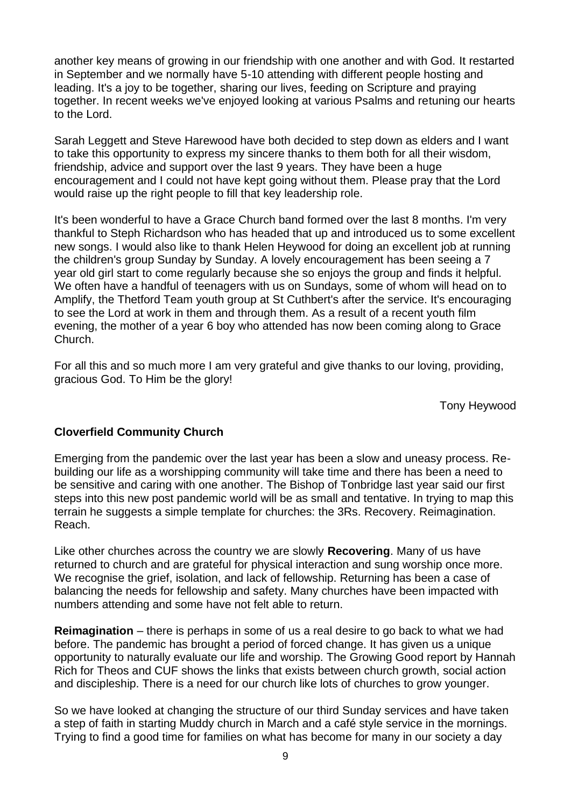another key means of growing in our friendship with one another and with God. It restarted in September and we normally have 5-10 attending with different people hosting and leading. It's a joy to be together, sharing our lives, feeding on Scripture and praying together. In recent weeks we've enjoyed looking at various Psalms and retuning our hearts to the Lord.

Sarah Leggett and Steve Harewood have both decided to step down as elders and I want to take this opportunity to express my sincere thanks to them both for all their wisdom, friendship, advice and support over the last 9 years. They have been a huge encouragement and I could not have kept going without them. Please pray that the Lord would raise up the right people to fill that key leadership role.

It's been wonderful to have a Grace Church band formed over the last 8 months. I'm very thankful to Steph Richardson who has headed that up and introduced us to some excellent new songs. I would also like to thank Helen Heywood for doing an excellent job at running the children's group Sunday by Sunday. A lovely encouragement has been seeing a 7 year old girl start to come regularly because she so enjoys the group and finds it helpful. We often have a handful of teenagers with us on Sundays, some of whom will head on to Amplify, the Thetford Team youth group at St Cuthbert's after the service. It's encouraging to see the Lord at work in them and through them. As a result of a recent youth film evening, the mother of a year 6 boy who attended has now been coming along to Grace Church.

For all this and so much more I am very grateful and give thanks to our loving, providing, gracious God. To Him be the glory!

Tony Heywood

#### **Cloverfield Community Church**

Emerging from the pandemic over the last year has been a slow and uneasy process. Rebuilding our life as a worshipping community will take time and there has been a need to be sensitive and caring with one another. The Bishop of Tonbridge last year said our first steps into this new post pandemic world will be as small and tentative. In trying to map this terrain he suggests a simple template for churches: the 3Rs. Recovery. Reimagination. Reach.

Like other churches across the country we are slowly **Recovering**. Many of us have returned to church and are grateful for physical interaction and sung worship once more. We recognise the grief, isolation, and lack of fellowship. Returning has been a case of balancing the needs for fellowship and safety. Many churches have been impacted with numbers attending and some have not felt able to return.

**Reimagination** – there is perhaps in some of us a real desire to go back to what we had before. The pandemic has brought a period of forced change. It has given us a unique opportunity to naturally evaluate our life and worship. The Growing Good report by Hannah Rich for Theos and CUF shows the links that exists between church growth, social action and discipleship. There is a need for our church like lots of churches to grow younger.

So we have looked at changing the structure of our third Sunday services and have taken a step of faith in starting Muddy church in March and a café style service in the mornings. Trying to find a good time for families on what has become for many in our society a day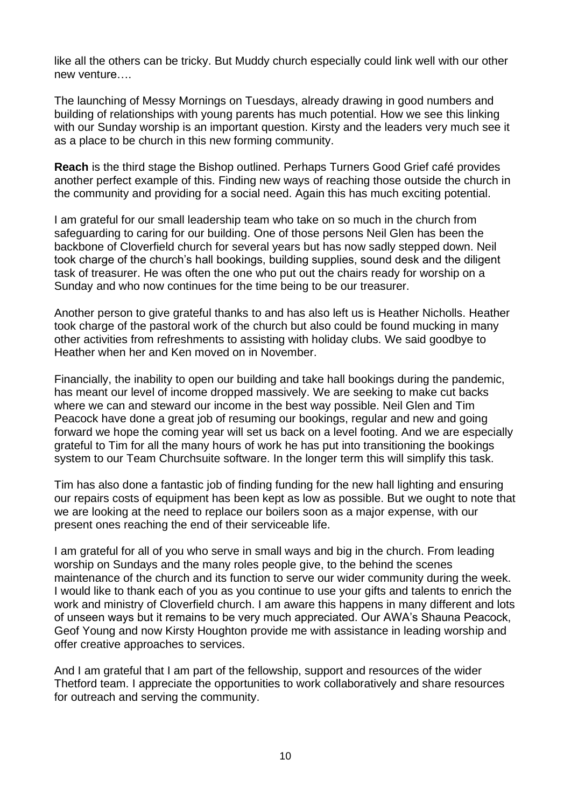like all the others can be tricky. But Muddy church especially could link well with our other new venture….

The launching of Messy Mornings on Tuesdays, already drawing in good numbers and building of relationships with young parents has much potential. How we see this linking with our Sunday worship is an important question. Kirsty and the leaders very much see it as a place to be church in this new forming community.

**Reach** is the third stage the Bishop outlined. Perhaps Turners Good Grief café provides another perfect example of this. Finding new ways of reaching those outside the church in the community and providing for a social need. Again this has much exciting potential.

I am grateful for our small leadership team who take on so much in the church from safeguarding to caring for our building. One of those persons Neil Glen has been the backbone of Cloverfield church for several years but has now sadly stepped down. Neil took charge of the church's hall bookings, building supplies, sound desk and the diligent task of treasurer. He was often the one who put out the chairs ready for worship on a Sunday and who now continues for the time being to be our treasurer.

Another person to give grateful thanks to and has also left us is Heather Nicholls. Heather took charge of the pastoral work of the church but also could be found mucking in many other activities from refreshments to assisting with holiday clubs. We said goodbye to Heather when her and Ken moved on in November.

Financially, the inability to open our building and take hall bookings during the pandemic, has meant our level of income dropped massively. We are seeking to make cut backs where we can and steward our income in the best way possible. Neil Glen and Tim Peacock have done a great job of resuming our bookings, regular and new and going forward we hope the coming year will set us back on a level footing. And we are especially grateful to Tim for all the many hours of work he has put into transitioning the bookings system to our Team Churchsuite software. In the longer term this will simplify this task.

Tim has also done a fantastic job of finding funding for the new hall lighting and ensuring our repairs costs of equipment has been kept as low as possible. But we ought to note that we are looking at the need to replace our boilers soon as a major expense, with our present ones reaching the end of their serviceable life.

I am grateful for all of you who serve in small ways and big in the church. From leading worship on Sundays and the many roles people give, to the behind the scenes maintenance of the church and its function to serve our wider community during the week. I would like to thank each of you as you continue to use your gifts and talents to enrich the work and ministry of Cloverfield church. I am aware this happens in many different and lots of unseen ways but it remains to be very much appreciated. Our AWA's Shauna Peacock, Geof Young and now Kirsty Houghton provide me with assistance in leading worship and offer creative approaches to services.

And I am grateful that I am part of the fellowship, support and resources of the wider Thetford team. I appreciate the opportunities to work collaboratively and share resources for outreach and serving the community.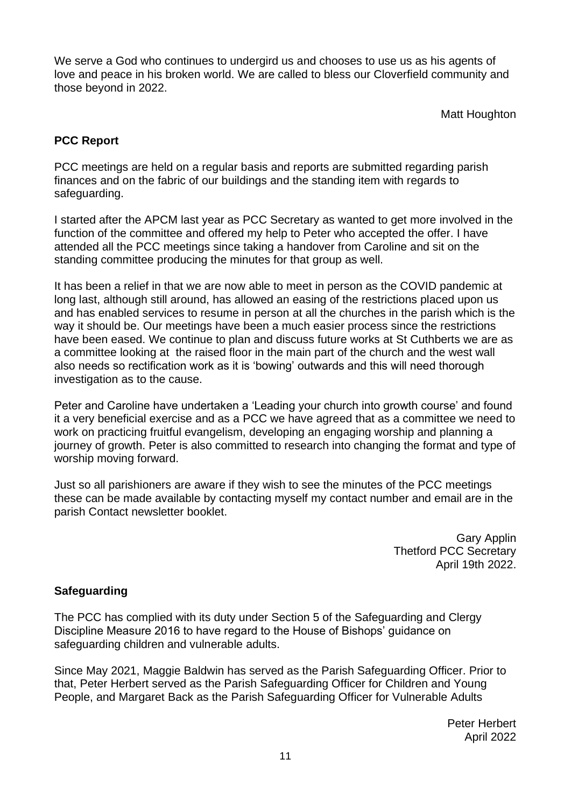We serve a God who continues to undergird us and chooses to use us as his agents of love and peace in his broken world. We are called to bless our Cloverfield community and those beyond in 2022.

Matt Houghton

# **PCC Report**

PCC meetings are held on a regular basis and reports are submitted regarding parish finances and on the fabric of our buildings and the standing item with regards to safeguarding.

I started after the APCM last year as PCC Secretary as wanted to get more involved in the function of the committee and offered my help to Peter who accepted the offer. I have attended all the PCC meetings since taking a handover from Caroline and sit on the standing committee producing the minutes for that group as well.

It has been a relief in that we are now able to meet in person as the COVID pandemic at long last, although still around, has allowed an easing of the restrictions placed upon us and has enabled services to resume in person at all the churches in the parish which is the way it should be. Our meetings have been a much easier process since the restrictions have been eased. We continue to plan and discuss future works at St Cuthberts we are as a committee looking at the raised floor in the main part of the church and the west wall also needs so rectification work as it is 'bowing' outwards and this will need thorough investigation as to the cause.

Peter and Caroline have undertaken a 'Leading your church into growth course' and found it a very beneficial exercise and as a PCC we have agreed that as a committee we need to work on practicing fruitful evangelism, developing an engaging worship and planning a journey of growth. Peter is also committed to research into changing the format and type of worship moving forward.

Just so all parishioners are aware if they wish to see the minutes of the PCC meetings these can be made available by contacting myself my contact number and email are in the parish Contact newsletter booklet.

> Gary Applin Thetford PCC Secretary April 19th 2022.

# **Safeguarding**

The PCC has complied with its duty under Section 5 of the Safeguarding and Clergy Discipline Measure 2016 to have regard to the House of Bishops' guidance on safeguarding children and vulnerable adults.

Since May 2021, Maggie Baldwin has served as the Parish Safeguarding Officer. Prior to that, Peter Herbert served as the Parish Safeguarding Officer for Children and Young People, and Margaret Back as the Parish Safeguarding Officer for Vulnerable Adults

> Peter Herbert April 2022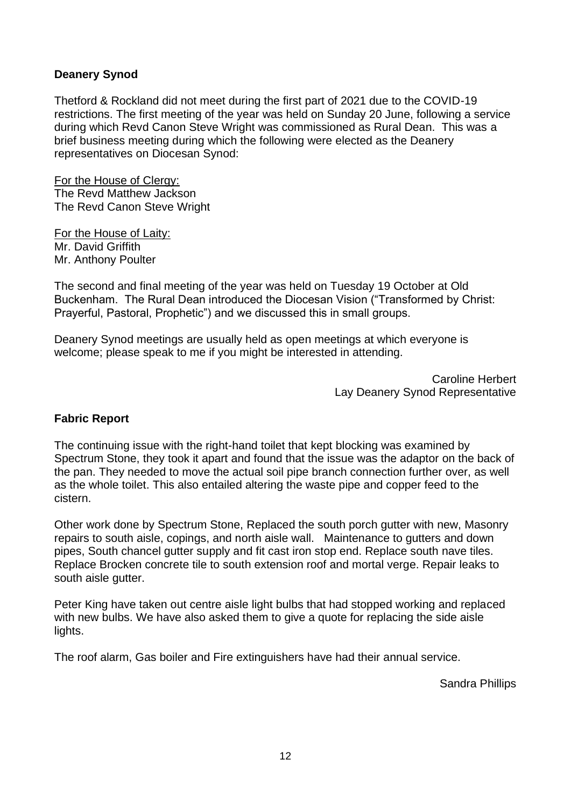# **Deanery Synod**

Thetford & Rockland did not meet during the first part of 2021 due to the COVID-19 restrictions. The first meeting of the year was held on Sunday 20 June, following a service during which Revd Canon Steve Wright was commissioned as Rural Dean. This was a brief business meeting during which the following were elected as the Deanery representatives on Diocesan Synod:

For the House of Clergy: The Revd Matthew Jackson The Revd Canon Steve Wright

For the House of Laity: Mr. David Griffith Mr. Anthony Poulter

The second and final meeting of the year was held on Tuesday 19 October at Old Buckenham. The Rural Dean introduced the Diocesan Vision ("Transformed by Christ: Prayerful, Pastoral, Prophetic") and we discussed this in small groups.

Deanery Synod meetings are usually held as open meetings at which everyone is welcome; please speak to me if you might be interested in attending.

> Caroline Herbert Lay Deanery Synod Representative

#### **Fabric Report**

The continuing issue with the right-hand toilet that kept blocking was examined by Spectrum Stone, they took it apart and found that the issue was the adaptor on the back of the pan. They needed to move the actual soil pipe branch connection further over, as well as the whole toilet. This also entailed altering the waste pipe and copper feed to the cistern.

Other work done by Spectrum Stone, Replaced the south porch gutter with new, Masonry repairs to south aisle, copings, and north aisle wall. Maintenance to gutters and down pipes, South chancel gutter supply and fit cast iron stop end. Replace south nave tiles. Replace Brocken concrete tile to south extension roof and mortal verge. Repair leaks to south aisle gutter.

Peter King have taken out centre aisle light bulbs that had stopped working and replaced with new bulbs. We have also asked them to give a quote for replacing the side aisle lights.

The roof alarm, Gas boiler and Fire extinguishers have had their annual service.

Sandra Phillips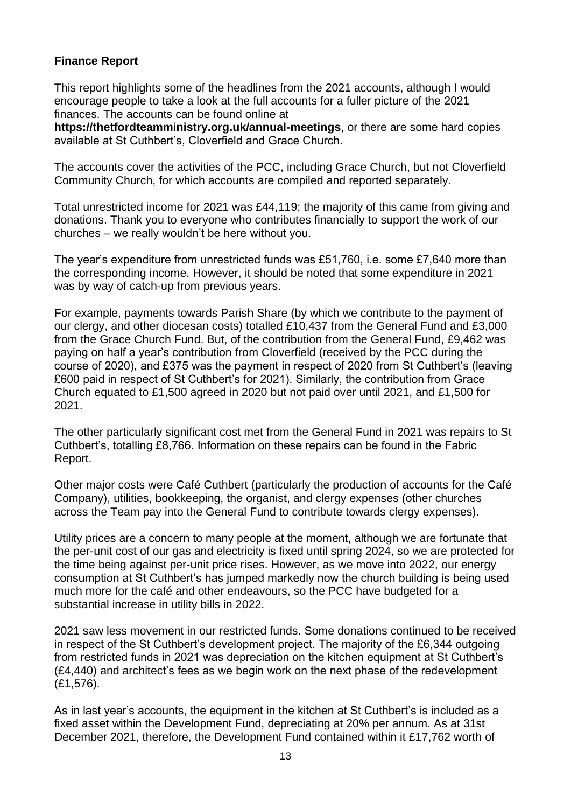# **Finance Report**

This report highlights some of the headlines from the 2021 accounts, although I would encourage people to take a look at the full accounts for a fuller picture of the 2021 finances. The accounts can be found online at

**https://thetfordteamministry.org.uk/annual-meetings**, or there are some hard copies available at St Cuthbert's, Cloverfield and Grace Church.

The accounts cover the activities of the PCC, including Grace Church, but not Cloverfield Community Church, for which accounts are compiled and reported separately.

Total unrestricted income for 2021 was £44,119; the majority of this came from giving and donations. Thank you to everyone who contributes financially to support the work of our churches – we really wouldn't be here without you.

The year's expenditure from unrestricted funds was £51,760, i.e. some £7,640 more than the corresponding income. However, it should be noted that some expenditure in 2021 was by way of catch-up from previous years.

For example, payments towards Parish Share (by which we contribute to the payment of our clergy, and other diocesan costs) totalled £10,437 from the General Fund and £3,000 from the Grace Church Fund. But, of the contribution from the General Fund, £9,462 was paying on half a year's contribution from Cloverfield (received by the PCC during the course of 2020), and £375 was the payment in respect of 2020 from St Cuthbert's (leaving £600 paid in respect of St Cuthbert's for 2021). Similarly, the contribution from Grace Church equated to £1,500 agreed in 2020 but not paid over until 2021, and £1,500 for 2021.

The other particularly significant cost met from the General Fund in 2021 was repairs to St Cuthbert's, totalling £8,766. Information on these repairs can be found in the Fabric Report.

Other major costs were Café Cuthbert (particularly the production of accounts for the Café Company), utilities, bookkeeping, the organist, and clergy expenses (other churches across the Team pay into the General Fund to contribute towards clergy expenses).

Utility prices are a concern to many people at the moment, although we are fortunate that the per-unit cost of our gas and electricity is fixed until spring 2024, so we are protected for the time being against per-unit price rises. However, as we move into 2022, our energy consumption at St Cuthbert's has jumped markedly now the church building is being used much more for the café and other endeavours, so the PCC have budgeted for a substantial increase in utility bills in 2022.

2021 saw less movement in our restricted funds. Some donations continued to be received in respect of the St Cuthbert's development project. The majority of the £6,344 outgoing from restricted funds in 2021 was depreciation on the kitchen equipment at St Cuthbert's (£4,440) and architect's fees as we begin work on the next phase of the redevelopment (£1,576).

As in last year's accounts, the equipment in the kitchen at St Cuthbert's is included as a fixed asset within the Development Fund, depreciating at 20% per annum. As at 31st December 2021, therefore, the Development Fund contained within it £17,762 worth of